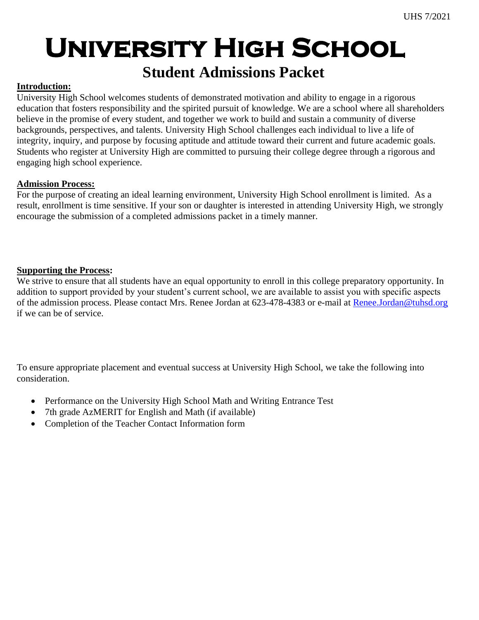## **Student Admissions Packet**

### **Introduction:**

University High School welcomes students of demonstrated motivation and ability to engage in a rigorous education that fosters responsibility and the spirited pursuit of knowledge. We are a school where all shareholders believe in the promise of every student, and together we work to build and sustain a community of diverse backgrounds, perspectives, and talents. University High School challenges each individual to live a life of integrity, inquiry, and purpose by focusing aptitude and attitude toward their current and future academic goals. Students who register at University High are committed to pursuing their college degree through a rigorous and engaging high school experience.

### **Admission Process:**

For the purpose of creating an ideal learning environment, University High School enrollment is limited. As a result, enrollment is time sensitive. If your son or daughter is interested in attending University High, we strongly encourage the submission of a completed admissions packet in a timely manner.

### **Supporting the Process:**

We strive to ensure that all students have an equal opportunity to enroll in this college preparatory opportunity. In addition to support provided by your student's current school, we are available to assist you with specific aspects of the admission process. Please contact Mrs. Renee Jordan at 623-478-4383 or e-mail at [Renee.Jordan@tuhsd.org](mailto:Renee.Jordan@tuhsd.org) if we can be of service.

To ensure appropriate placement and eventual success at University High School, we take the following into consideration.

- Performance on the University High School Math and Writing Entrance Test
- 7th grade AzMERIT for English and Math (if available)
- Completion of the Teacher Contact Information form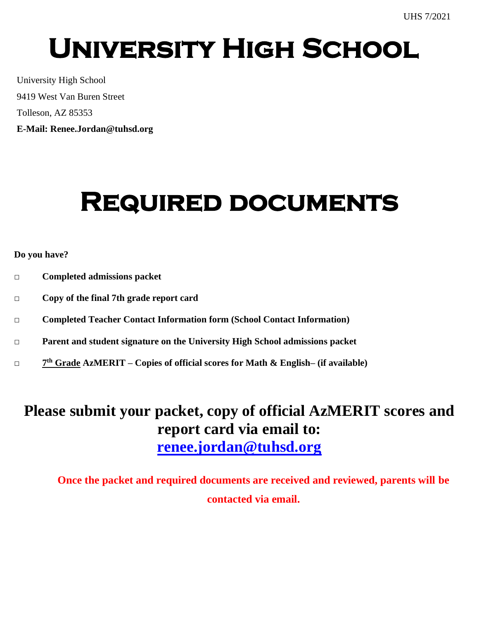University High School 9419 West Van Buren Street Tolleson, AZ 85353 **E-Mail: Renee.Jordan@tuhsd.org**

## **Required documents**

## **Do you have?**

- **□ Completed admissions packet**
- **□ Copy of the final 7th grade report card**
- **□ Completed Teacher Contact Information form (School Contact Information)**
- **□ Parent and student signature on the University High School admissions packet**
- **□ 7 th Grade AzMERIT – Copies of official scores for Math & English– (if available)**

## **Please submit your packet, copy of official AzMERIT scores and report card via email to: [renee.jordan@tuhsd.org](mailto:renee.jordan@tuhsd.org)**

**Once the packet and required documents are received and reviewed, parents will be contacted via email.**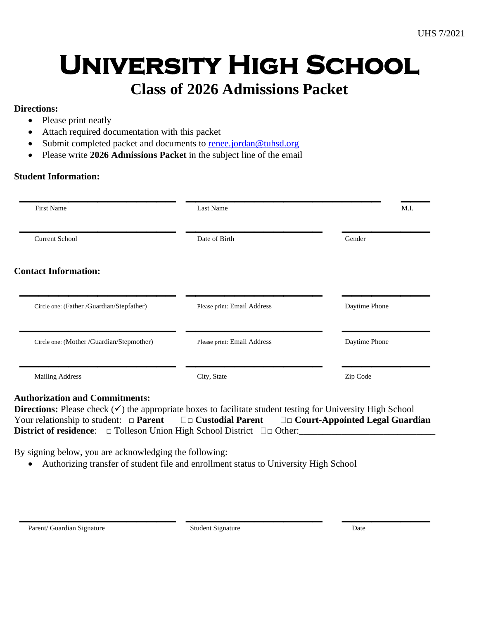## **Class of 2026 Admissions Packet**

## **Directions:**

- Please print neatly
- Attach required documentation with this packet
- Submit completed packet and documents to [renee.jordan@tuhsd.org](mailto:renee.jordan@tuhsd.org)
- Please write **2026 Admissions Packet** in the subject line of the email

## **Student Information:**

| First Name                                | Last Name                   | M.I.          |
|-------------------------------------------|-----------------------------|---------------|
| <b>Current School</b>                     | Date of Birth               | Gender        |
| <b>Contact Information:</b>               |                             |               |
| Circle one: (Father /Guardian/Stepfather) | Please print: Email Address | Daytime Phone |
|                                           |                             |               |
| Circle one: (Mother /Guardian/Stepmother) | Please print: Email Address | Daytime Phone |

## **Authorization and Commitments:**

| <b>Directions:</b> Please check $(\checkmark)$ the appropriate boxes to facilitate student testing for University High School |  |                                                                                               |                                       |  |
|-------------------------------------------------------------------------------------------------------------------------------|--|-----------------------------------------------------------------------------------------------|---------------------------------------|--|
| Your relationship to student: $\Box$ <b>Parent</b>                                                                            |  | $\square$ $\square$ Custodial Parent                                                          | $\Box$ Court-Appointed Legal Guardian |  |
|                                                                                                                               |  | <b>District of residence:</b> $\Box$ Tolleson Union High School District $\Box$ $\Box$ Other: |                                       |  |

By signing below, you are acknowledging the following:

• Authorizing transfer of student file and enrollment status to University High School

**\_\_\_\_\_\_\_\_\_\_\_\_\_\_\_\_ \_\_\_\_\_\_\_\_\_\_\_\_\_\_ \_\_\_\_\_\_\_\_\_**